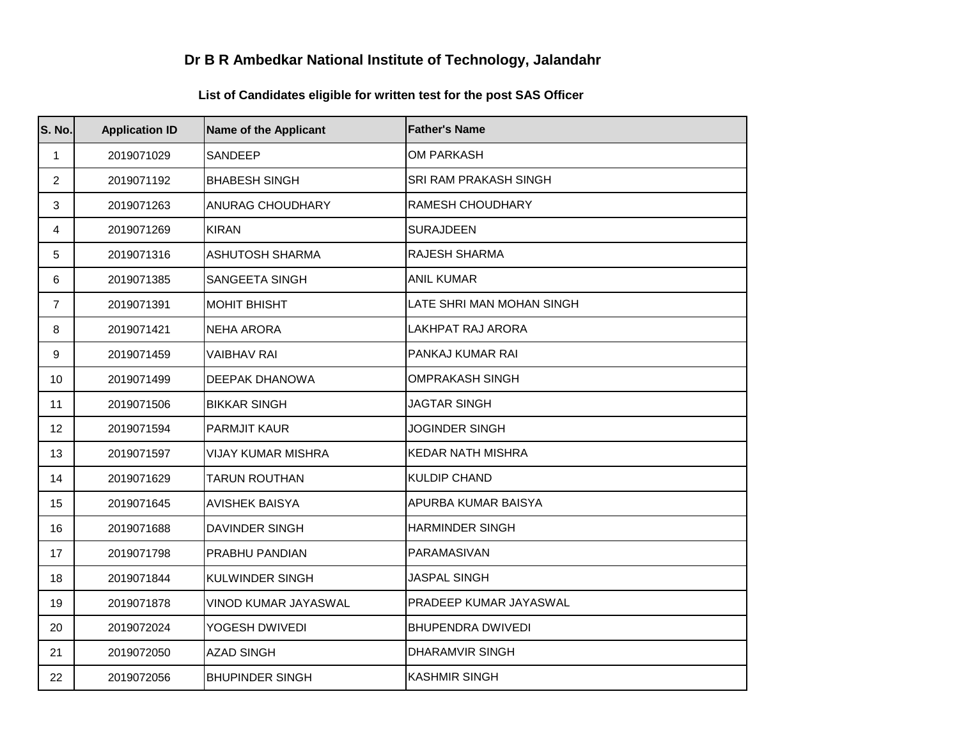## **Dr B R Ambedkar National Institute of Technology, Jalandahr**

## **List of Candidates eligible for written test for the post SAS Officer**

| S. No.         | <b>Application ID</b> | <b>Name of the Applicant</b> | <b>Father's Name</b>         |
|----------------|-----------------------|------------------------------|------------------------------|
| 1              | 2019071029            | SANDEEP                      | <b>OM PARKASH</b>            |
| $\overline{2}$ | 2019071192            | <b>BHABESH SINGH</b>         | <b>SRI RAM PRAKASH SINGH</b> |
| 3              | 2019071263            | <b>ANURAG CHOUDHARY</b>      | <b>RAMESH CHOUDHARY</b>      |
| 4              | 2019071269            | <b>KIRAN</b>                 | <b>SURAJDEEN</b>             |
| 5              | 2019071316            | <b>ASHUTOSH SHARMA</b>       | RAJESH SHARMA                |
| 6              | 2019071385            | <b>SANGEETA SINGH</b>        | <b>ANIL KUMAR</b>            |
| $\overline{7}$ | 2019071391            | <b>MOHIT BHISHT</b>          | LATE SHRI MAN MOHAN SINGH    |
| 8              | 2019071421            | <b>NEHA ARORA</b>            | LAKHPAT RAJ ARORA            |
| 9              | 2019071459            | <b>VAIBHAV RAI</b>           | PANKAJ KUMAR RAI             |
| 10             | 2019071499            | DEEPAK DHANOWA               | <b>OMPRAKASH SINGH</b>       |
| 11             | 2019071506            | <b>BIKKAR SINGH</b>          | <b>JAGTAR SINGH</b>          |
| 12             | 2019071594            | <b>PARMJIT KAUR</b>          | <b>JOGINDER SINGH</b>        |
| 13             | 2019071597            | <b>VIJAY KUMAR MISHRA</b>    | <b>KEDAR NATH MISHRA</b>     |
| 14             | 2019071629            | <b>TARUN ROUTHAN</b>         | <b>KULDIP CHAND</b>          |
| 15             | 2019071645            | <b>AVISHEK BAISYA</b>        | APURBA KUMAR BAISYA          |
| 16             | 2019071688            | <b>DAVINDER SINGH</b>        | <b>HARMINDER SINGH</b>       |
| 17             | 2019071798            | PRABHU PANDIAN               | PARAMASIVAN                  |
| 18             | 2019071844            | <b>KULWINDER SINGH</b>       | <b>JASPAL SINGH</b>          |
| 19             | 2019071878            | VINOD KUMAR JAYASWAL         | PRADEEP KUMAR JAYASWAL       |
| 20             | 2019072024            | YOGESH DWIVEDI               | <b>BHUPENDRA DWIVEDI</b>     |
| 21             | 2019072050            | <b>AZAD SINGH</b>            | <b>DHARAMVIR SINGH</b>       |
| 22             | 2019072056            | <b>BHUPINDER SINGH</b>       | <b>KASHMIR SINGH</b>         |